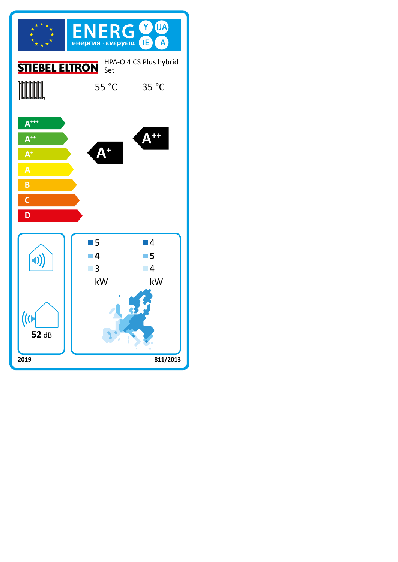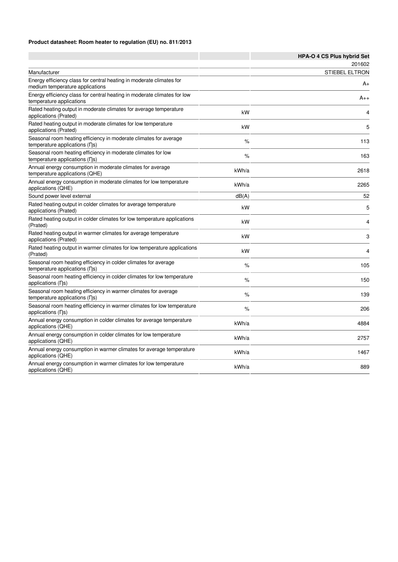### **Product datasheet: Room heater to regulation (EU) no. 811/2013**

|                                                                                                                    |       | HPA-O 4 CS Plus hybrid Set |
|--------------------------------------------------------------------------------------------------------------------|-------|----------------------------|
|                                                                                                                    |       | 201602                     |
| Manufacturer                                                                                                       |       | <b>STIEBEL ELTRON</b>      |
| Energy efficiency class for central heating in moderate climates for<br>medium temperature applications            |       | A+                         |
| Energy efficiency class for central heating in moderate climates for low<br>temperature applications               |       | $A_{++}$                   |
| Rated heating output in moderate climates for average temperature<br>applications (Prated)                         | kW    | 4                          |
| Rated heating output in moderate climates for low temperature<br>applications (Prated)                             | kW    | 5                          |
| Seasonal room heating efficiency in moderate climates for average<br>temperature applications (ns)                 | %     | 113                        |
| Seasonal room heating efficiency in moderate climates for low<br>temperature applications (ns)                     | %     | 163                        |
| Annual energy consumption in moderate climates for average<br>temperature applications (QHE)                       | kWh/a | 2618                       |
| Annual energy consumption in moderate climates for low temperature<br>applications (QHE)                           | kWh/a | 2265                       |
| Sound power level external                                                                                         | dB(A) | 52                         |
| Rated heating output in colder climates for average temperature<br>applications (Prated)                           | kW    | 5                          |
| Rated heating output in colder climates for low temperature applications<br>(Prated)                               | kW    | 4                          |
| Rated heating output in warmer climates for average temperature<br>applications (Prated)                           | kW    | 3                          |
| Rated heating output in warmer climates for low temperature applications<br>(Prated)                               | kW    | 4                          |
| Seasonal room heating efficiency in colder climates for average<br>temperature applications (ns)                   | $\%$  | 105                        |
| Seasonal room heating efficiency in colder climates for low temperature<br>applications (ns)                       | %     | 150                        |
| Seasonal room heating efficiency in warmer climates for average<br>temperature applications $( \nabla \mathbf{s})$ | %     | 139                        |
| Seasonal room heating efficiency in warmer climates for low temperature<br>applications (ns)                       | %     | 206                        |
| Annual energy consumption in colder climates for average temperature<br>applications (QHE)                         | kWh/a | 4884                       |
| Annual energy consumption in colder climates for low temperature<br>applications (QHE)                             | kWh/a | 2757                       |
| Annual energy consumption in warmer climates for average temperature<br>applications (QHE)                         | kWh/a | 1467                       |
| Annual energy consumption in warmer climates for low temperature<br>applications (QHE)                             | kWh/a | 889                        |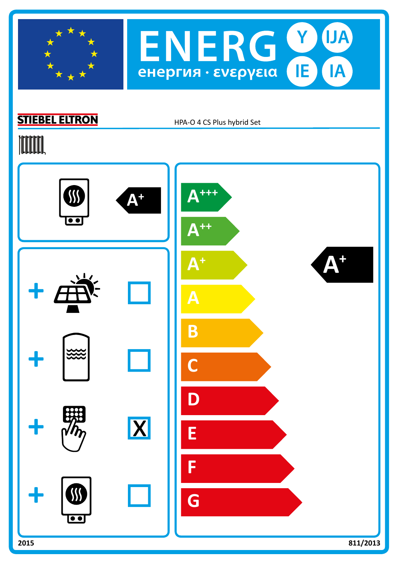



# **STIEBEL ELTRON**

HPA-O 4 CS Plus hybrid Set

# **TOOTAL**

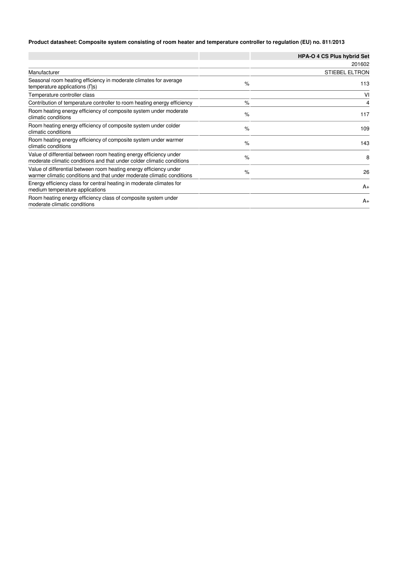### **Product datasheet: Composite system consisting of room heater and temperature controller to regulation (EU) no. 811/2013**

|                                                                                                                                              |      | <b>HPA-O 4 CS Plus hybrid Set</b> |
|----------------------------------------------------------------------------------------------------------------------------------------------|------|-----------------------------------|
|                                                                                                                                              |      | 201602                            |
| Manufacturer                                                                                                                                 |      | <b>STIEBEL ELTRON</b>             |
| Seasonal room heating efficiency in moderate climates for average<br>temperature applications $( \nabla \mathbf{s})$                         | $\%$ | 113                               |
| Temperature controller class                                                                                                                 |      | VI                                |
| Contribution of temperature controller to room heating energy efficiency                                                                     | $\%$ | 4                                 |
| Room heating energy efficiency of composite system under moderate<br>climatic conditions                                                     | $\%$ | 117                               |
| Room heating energy efficiency of composite system under colder<br>climatic conditions                                                       | $\%$ | 109                               |
| Room heating energy efficiency of composite system under warmer<br>climatic conditions                                                       | $\%$ | 143                               |
| Value of differential between room heating energy efficiency under<br>moderate climatic conditions and that under colder climatic conditions | $\%$ | 8                                 |
| Value of differential between room heating energy efficiency under<br>warmer climatic conditions and that under moderate climatic conditions | $\%$ | 26                                |
| Energy efficiency class for central heating in moderate climates for<br>medium temperature applications                                      |      | $A_{+}$                           |
| Room heating energy efficiency class of composite system under<br>moderate climatic conditions                                               |      | $A_{+}$                           |